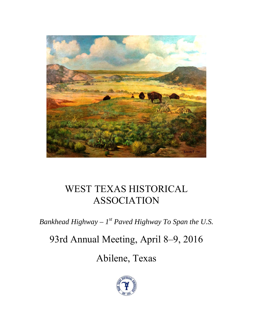

# WEST TEXAS HISTORICAL ASSOCIATION

*Bankhead Highway –*  $I^{st}$  *Paved Highway To Span the U.S.* 

# 93rd Annual Meeting, April 8–9, 2016

Abilene, Texas

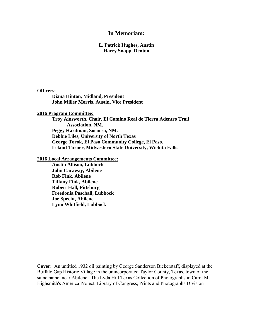## **In Memoriam:**

#### **L. Patrick Hughes, Austin Harry Snapp, Denton**

#### **Officers:**

**Diana Hinton, Midland, President John Miller Morris, Austin, Vice President** 

**2016 Program Committee:** 

**Troy Ainsworth, Chair, El Camino Real de Tierra Adentro Trail Association, NM. Peggy Hardman, Socorro, NM. Debbie Liles, University of North Texas George Torok, El Paso Community College, El Paso. Leland Turner, Midwestern State University, Wichita Falls.** 

**2016 Local Arrangements Committee:** 

**Austin Allison, Lubbock John Caraway, Abilene Rob Fink, Abilene Tiffany Fink, Abilene Robert Hall, Pittsburg Freedonia Paschall, Lubbock Joe Specht, Abilene Lynn Whitfield, Lubbock** 

**Cover:** An untitled 1932 oil painting by George Sanderson Bickerstaff, displayed at the Buffalo Gap Historic Village in the unincorporated Taylor County, Texas, town of the same name, near Abilene. The Lyda Hill Texas Collection of Photographs in Carol M. Highsmith's America Project, Library of Congress, Prints and Photographs Division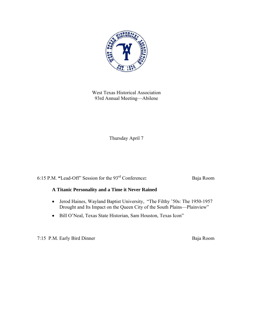

West Texas Historical Association 93rd Annual Meeting—Abilene

Thursday April 7

6:15 P.M. **"**Lead-Off" Session for the 93rd Conference**:** Baja Room

# **A Titanic Personality and a Time it Never Rained**

- Jerod Haines, Wayland Baptist University, "The Filthy '50s: The 1950-1957 Drought and Its Impact on the Queen City of the South Plains—Plainview"
- Bill O'Neal, Texas State Historian, Sam Houston, Texas Icon"

7:15 P.M. Early Bird Dinner Baja Room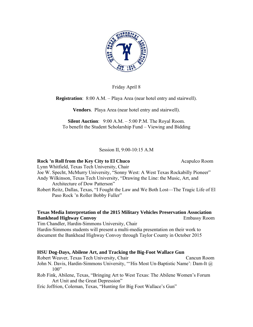

Friday April 8

**Registration**: 8:00 A.M. – Playa Area (near hotel entry and stairwell).

**Vendors**. Playa Area (near hotel entry and stairwell).

**Silent Auction**: 9:00 A.M. – 5:00 P.M. The Royal Room. To benefit the Student Scholarship Fund – Viewing and Bidding

Session II, 9:00-10:15 A.M

# **Rock 'n Roll from the Key City to El Chuco Acapulco Room Acapulco Room**

Lynn Whitfield, Texas Tech University, Chair Joe W. Specht, McMurry University, "Sonny West: A West Texas Rockabilly Pioneer"

Andy Wilkinson, Texas Tech University, "Drawing the Line: the Music, Art, and Architecture of Dow Patterson"

Robert Reitz, Dallas, Texas, "I Fought the Law and We Both Lost—The Tragic Life of El Paso Rock 'n Roller Bobby Fuller"

# **Texas Media Interpretation of the 2015 Military Vehicles Preservation Association Bankhead Highway Convoy Embassy Room**

Tim Chandler, Hardin-Simmons University, Chair Hardin-Simmons students will present a multi-media presentation on their work to document the Bankhead Highway Convoy through Taylor County in October 2015

# **HSU Dog-Days, Abilene Art, and Tracking the Big-Foot Wallace Gun**

Robert Weaver, Texas Tech University, ChairCancun Room John N. Davis, Hardin-Simmons University, "'His Most Un-Baptistic Name': Dam-It @  $100"$ 

Rob Fink, Abilene, Texas, "Bringing Art to West Texas: The Abilene Women's Forum Art Unit and the Great Depression"

Eric Joffrion, Coleman, Texas, "Hunting for Big Foot Wallace's Gun"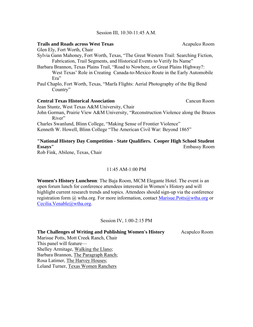#### Session III, 10:30-11:45 A.M.

#### **Trails and Roads across West Texas** Acapulco Room

Glen Ely, Fort Worth, Chair

- Sylvia Gann Mahoney, Fort Worth, Texas, "The Great Western Trail: Searching Fiction, Fabrication, Trail Segments, and Historical Events to Verify Its Name"
- Barbara Brannon, Texas Plains Trail, "Road to Nowhere, or Great Plains Highway?: West Texas' Role in Creating Canada-to-Mexico Route in the Early Automobile Era"
- Paul Chaplo, Fort Worth, Texas, "Marfa Flights: Aerial Photography of the Big Bend Country"

#### **Central Texas Historical Association** Cancun Room

Jean Stuntz, West Texas A&M University, Chair

John Gorman, Prairie View A&M University, "Reconstruction Violence along the Brazos River"

Charles Swanlund, Blinn College, "Making Sense of Frontier Violence"

Kenneth W. Howell, Blinn College "The American Civil War: Beyond 1865"

# **"National History Day Competition - State Qualifiers. Cooper High School Student Essays"** Embassy Room

Rob Fink, Abilene, Texas, Chair

#### 11:45 AM-1:00 PM

**Women's History Luncheon**: The Baja Room, MCM Elegante Hotel. The event is an open forum lunch for conference attendees interested in Women's History and will highlight current research trends and topics. Attendees should sign-up via the conference registration form @ wtha.org. For more information, contact Marisue.Potts@wtha.org or Cecilia.Venable@wtha.org.

Session IV, 1:00-2:15 PM

**The Challenges of Writing and Publishing Women's History** Acapulco Room

Marisue Potts, Mott Creek Ranch, Chair This panel will feature— Shelley Armitage, Walking the Llano; Barbara Brannon, The Paragraph Ranch; Rosa Latimer, The Harvey Houses; Leland Turner, Texas Women Ranchers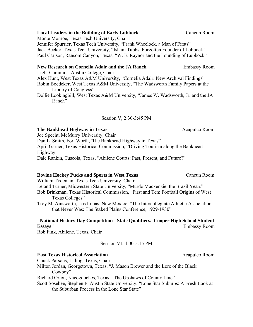# **Local Leaders in the Building of Early Lubbock Cancun Room**

Monte Monroe, Texas Tech University, Chair Jennifer Spurrier, Texas Tech University, "Frank Wheelock, a Man of Firsts" Jack Becker, Texas Tech University, "Isham Tubbs, Forgotten Founder of Lubbock" Paul Carlson, Ransom Canyon, Texas, "W. E. Raynor and the Founding of Lubbock"

# **New Research on Cornelia Adair and the JA Ranch**  Embassy Room

Light Cummins, Austin College, Chair

Alex Hunt, West Texas A&M University, "Cornelia Adair: New Archival Findings" Robin Boedeker, West Texas A&M University, "The Wadsworth Family Papers at the Library of Congress"

Dollie Lookingbill, West Texas A&M University, "James W. Wadsworth, Jr. and the JA Ranch"

#### Session V, 2:30-3:45 PM

#### **The Bankhead Highway in Texas 6 and 1997 120 and 1997 120 and 1998 120 and 1998 120 and 1998 120 and 1998 120 and 1998 120 and 1998 120 and 1998 120 and 1998 120 and 1998 120 and 1998 120 and 1998 120 and 1998 120 and 199**

Joe Specht, McMurry University, Chair Dan L. Smith, Fort Worth, "The Bankhead Highway in Texas" April Garner, Texas Historical Commission, "Driving Tourism along the Bankhead Highway" Dale Rankin, Tuscola, Texas, "Abilene Courts: Past, Present, and Future?"

#### **Bovine Hockey Pucks and Sports in West Texas Cancun Room**

William Tydeman, Texas Tech University, Chair Leland Turner, Midwestern State University, "Murdo Mackenzie: the Brazil Years" Bob Brinkman, Texas Historical Commission, "First and Ten: Football Origins of West Texas Colleges"

Troy M. Ainsworth, Los Lunas, New Mexico, "The Intercollegiate Athletic Association that Never Was: The Staked Plains Conference, 1929-1930"

## **"National History Day Competition - State Qualifiers. Cooper High School Student Essays"** Embassy Room

Rob Fink, Abilene, Texas, Chair

Session VI: 4:00-5:15 PM

#### **East Texas Historical Association Acapulco Room Acapulco Room**

Chuck Parsons, Luling, Texas, Chair

Milton Jordan, Georgetown, Texas, "J. Mason Brewer and the Lore of the Black Cowboy"

Richard Orton, Nacogdoches, Texas, "The Upshaws of County Line"

Scott Sosebee, Stephen F. Austin State University, "Lone Star Suburbs: A Fresh Look at the Suburban Process in the Lone Star State"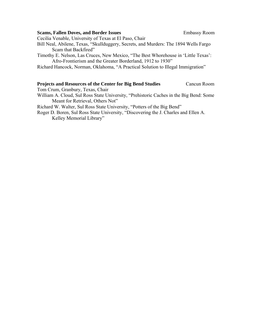#### **Scams, Fallen Doves, and Border Issues Embassy Room**

Cecilia Venable, University of Texas at El Paso, Chair

- Bill Neal, Abilene, Texas, "Skullduggery, Secrets, and Murders: The 1894 Wells Fargo Scam that Backfired"
- Timothy E. Nelson, Las Cruces, New Mexico, "The Best Whorehouse in 'Little Texas': Afro-Frontierism and the Greater Borderland, 1912 to 1930"

Richard Hancock, Norman, Oklahoma, "A Practical Solution to Illegal Immigration"

# **Projects and Resources of the Center for Big Bend Studies** Cancun Room

Tom Crum, Granbury, Texas, Chair

- William A. Cloud, Sul Ross State University, "Prehistoric Caches in the Big Bend: Some Meant for Retrieval, Others Not"
- Richard W. Walter, Sul Ross State University, "Potters of the Big Bend"

Roger D. Boren, Sul Ross State University, "Discovering the J. Charles and Ellen A. Kelley Memorial Library"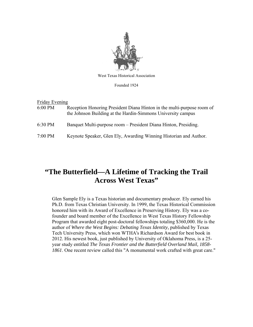

West Texas Historical Association

Founded 1924

| Friday Evening |                                                                                                                                        |  |
|----------------|----------------------------------------------------------------------------------------------------------------------------------------|--|
| $6:00$ PM      | Reception Honoring President Diana Hinton in the multi-purpose room of<br>the Johnson Building at the Hardin-Simmons University campus |  |
| 6:30 PM        | Banquet Multi-purpose room – President Diana Hinton, Presiding.                                                                        |  |
| $7:00$ PM      | Keynote Speaker, Glen Ely, Awarding Winning Historian and Author.                                                                      |  |

# **"The Butterfield—A Lifetime of Tracking the Trail Across West Texas"**

Glen Sample Ely is a Texas historian and documentary producer. Ely earned his Ph.D. from Texas Christian University. In 1999, the Texas Historical Commission honored him with its Award of Excellence in Preserving History. Ely was a cofounder and board member of the Excellence in West Texas History Fellowship Program that awarded eight post-doctoral fellowships totaling \$360,000. He is the author of *Where the West Begins: Debating Texas Identity,* published by Texas Tech University Press, which won WTHA's Richardson Award for best book in 2012. His newest book, just published by University of Oklahoma Press, is a 25 year study entitled *The Texas Frontier and the Butterfield Overland Mail, 1858- 1861*. One recent review called this "A monumental work crafted with great care."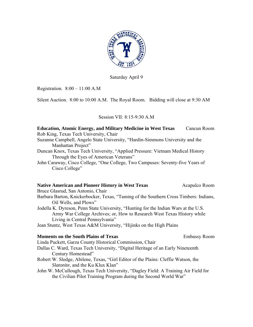

Saturday April 9

Registration. 8:00 – 11:00 A.M

Silent Auction. 8:00 to 10:00 A.M. The Royal Room. Bidding will close at 9:30 AM

# Session VII: 8:15-9:30 A.M

| <b>Education, Atomic Energy, and Military Medicine in West Texas</b>                                                                                                                              | Cancun Room         |  |
|---------------------------------------------------------------------------------------------------------------------------------------------------------------------------------------------------|---------------------|--|
| Rob King, Texas Tech University, Chair                                                                                                                                                            |                     |  |
| Suzanne Campbell, Angelo State University, "Hardin-Simmons University and the<br>Manhattan Project"                                                                                               |                     |  |
| Duncan Knox, Texas Tech University, "Applied Pressure: Vietnam Medical History<br>Through the Eyes of American Veterans"                                                                          |                     |  |
| John Caraway, Cisco College, "One College, Two Campuses: Seventy-five Years of<br>Cisco College"                                                                                                  |                     |  |
| <b>Native American and Pioneer History in West Texas</b>                                                                                                                                          | Acapulco Room       |  |
| Bruce Glasrud, San Antonio, Chair                                                                                                                                                                 |                     |  |
| Barbara Barton, Knickerbocker, Texas, "Taming of the Southern Cross Timbers: Indians,<br>Oil Wells, and Plows"                                                                                    |                     |  |
| Jodella K. Dyreson, Penn State University, "Hunting for the Indian Wars at the U.S.<br>Army War College Archives; or, How to Research West Texas History while<br>Living in Central Pennsylvania" |                     |  |
| Jean Stuntz, West Texas A&M University, "Hijinks on the High Plains"                                                                                                                              |                     |  |
| <b>Moments on the South Plains of Texas</b>                                                                                                                                                       | <b>Embassy Room</b> |  |
| Linda Puckett, Garza County Historical Commission, Chair                                                                                                                                          |                     |  |
| Dallas C. Ward, Texas Tech University, "Digital Heritage of an Early Nineteenth<br>Century Homestead"                                                                                             |                     |  |
| Robert W. Sledge, Abilene, Texas, "Girl Editor of the Plains: Cleffie Watson, the<br>Slatonite, and the Ku Klux Klan"                                                                             |                     |  |
| John W. McCullough, Texas Tech University, "Dagley Field: A Training Air Field for<br>the Civilian Pilot Training Program during the Second World War"                                            |                     |  |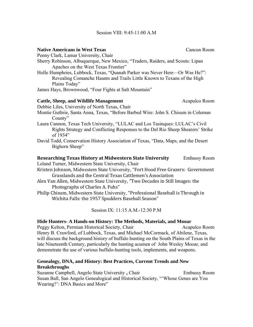#### **Native Americans in West Texas**  Cancun Room

Penny Clark, Lamar University, Chair

- Sherry Robinson, Albuquerque, New Mexico, "Traders, Raiders, and Scouts: Lipan Apaches on the West Texas Frontier"
- Holle Humphries, Lubbock, Texas, "Quanah Parker was Never Here—Or Was He?": Revealing Comanche Haunts and Trails Little Known to Texans of the High Plains Today"

James Hays, Brownwood, "Four Fights at Salt Mountain"

#### **Cattle, Sheep, and Wildlife Management Acapulco Room Acapulco Room**

Debbie Liles, University of North Texas, Chair

- Montie Guthrie, Santa Anna, Texas, "Before Barbed Wire: John S. Chisum in Coleman County"
- Laura Cannon, Texas Tech University, "LULAC and Los Tasinques: LULAC's Civil Rights Strategy and Conflicting Responses to the Del Rio Sheep Shearers' Strike of 1934"
- David Todd, Conservation History Association of Texas, "Data, Maps, and the Desert Bighorn Sheep"

#### **Researching Texas History at Midwestern State University** Embassy Room

Leland Turner, Midwestern State University, Chair

- Kristen Johnson, Midwestern State University, "Fort Hood Free Grazers: Government Grasslands and the Central Texas Cattlemen's Association
- Alex Van Allen, Midwestern State University, "Two Decades in Still Images: the Photographs of Charles A. Fuhs"
- Philip Chisum, Midwestern State University, "Professional Baseball is Through in Wichita Falls: the 1957 Spudders Baseball Season"

Session IX: 11:15 A.M.-12:30 P.M

#### **Hide Hunters- A Hands-on History: The Methods, Materials, and Mooar**

Peggy Kelton, Permian Historical Society, ChairAcapulco Room Henry B. Crawford, of Lubbock, Texas, and Michael McCormack, of Abilene, Texas, will discuss the background history of buffalo hunting on the South Plains of Texas in the late Nineteenth Century, particularly the hunting acumen of John Wesley Mooar, and demonstrate the use of various buffalo-hunting tools, implements, and weapons.

## **Genealogy, DNA, and History: Best Practices, Current Trends and New Breakthroughs**

Suzanne Campbell, Angelo State University **,** ChairEmbassy Room Susan Ball, San Angelo Genealogical and Historical Society, "'Whose Genes are You Wearing?': DNA Basics and More"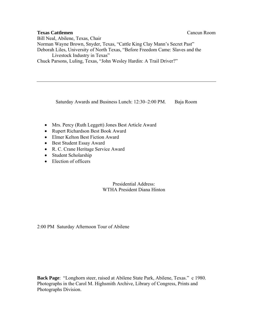## **Texas Cattlemen Canculate Canculate Canculate Canculate Canculate Canculate Canculate Canculate Canculate Canculate Canculate Canculate Canculate Canculate Canculate Canculate Canculate Canculate Canculate Canculate Can**

Bill Neal, Abilene, Texas, Chair Norman Wayne Brown, Snyder, Texas, "Cattle King Clay Mann's Secret Past" Deborah Liles, University of North Texas, "Before Freedom Came: Slaves and the Livestock Industry in Texas" Chuck Parsons, Luling, Texas, "John Wesley Hardin: A Trail Driver?"

Saturday Awards and Business Lunch: 12:30–2:00 PM. Baja Room

- Mrs. Percy (Ruth Leggett) Jones Best Article Award
- Rupert Richardson Best Book Award
- Elmer Kelton Best Fiction Award
- Best Student Essay Award
- R. C. Crane Heritage Service Award
- Student Scholarship
- Election of officers

Presidential Address: WTHA President Diana Hinton

2:00 PM Saturday Afternoon Tour of Abilene

**Back Page**: "Longhorn steer, raised at Abilene State Park, Abilene, Texas." c 1980. Photographs in the Carol M. Highsmith Archive, Library of Congress, Prints and Photographs Division.